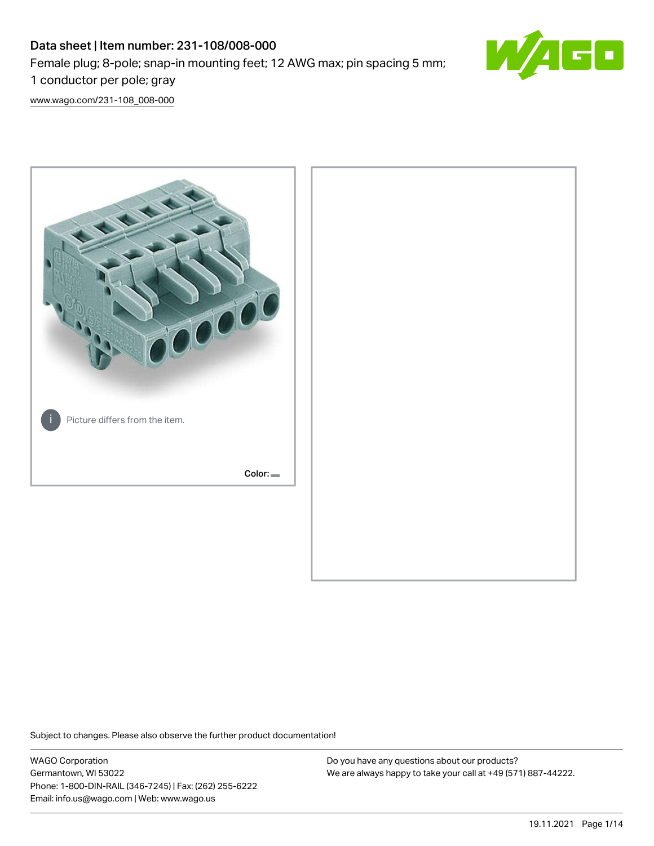# Data sheet | Item number: 231-108/008-000 Female plug; 8-pole; snap-in mounting feet; 12 AWG max; pin spacing 5 mm; 1 conductor per pole; gray



[www.wago.com/231-108\\_008-000](http://www.wago.com/231-108_008-000)



Subject to changes. Please also observe the further product documentation!

WAGO Corporation Germantown, WI 53022 Phone: 1-800-DIN-RAIL (346-7245) | Fax: (262) 255-6222 Email: info.us@wago.com | Web: www.wago.us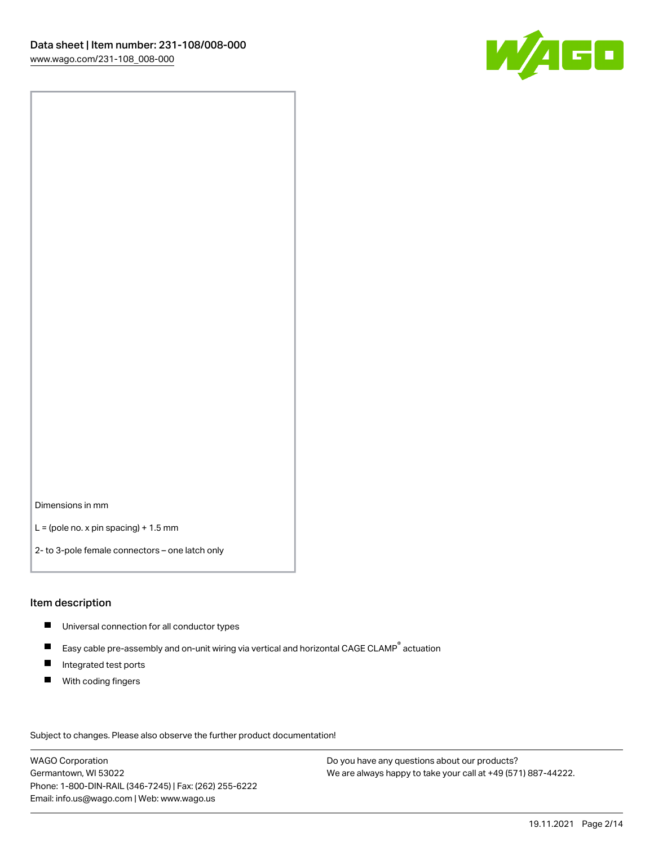

Dimensions in mm

 $L =$  (pole no. x pin spacing) + 1.5 mm

2- to 3-pole female connectors – one latch only

#### Item description

- **Universal connection for all conductor types**
- Easy cable pre-assembly and on-unit wiring via vertical and horizontal CAGE CLAMP<sup>®</sup> actuation  $\blacksquare$
- $\blacksquare$ Integrated test ports
- $\blacksquare$ With coding fingers

Subject to changes. Please also observe the further product documentation! Data

WAGO Corporation Germantown, WI 53022 Phone: 1-800-DIN-RAIL (346-7245) | Fax: (262) 255-6222 Email: info.us@wago.com | Web: www.wago.us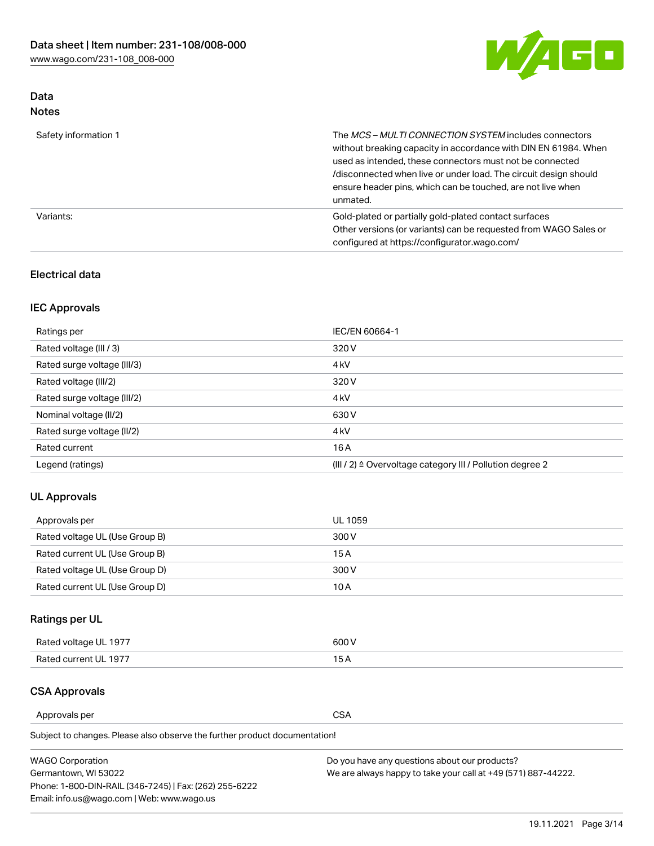

## Data Notes

| Safety information 1 | The MCS-MULTI CONNECTION SYSTEM includes connectors<br>without breaking capacity in accordance with DIN EN 61984. When<br>used as intended, these connectors must not be connected<br>/disconnected when live or under load. The circuit design should<br>ensure header pins, which can be touched, are not live when<br>unmated. |
|----------------------|-----------------------------------------------------------------------------------------------------------------------------------------------------------------------------------------------------------------------------------------------------------------------------------------------------------------------------------|
| Variants:            | Gold-plated or partially gold-plated contact surfaces<br>Other versions (or variants) can be requested from WAGO Sales or<br>configured at https://configurator.wago.com/                                                                                                                                                         |

## Electrical data

## IEC Approvals

| Ratings per                 | IEC/EN 60664-1                                                        |
|-----------------------------|-----------------------------------------------------------------------|
| Rated voltage (III / 3)     | 320 V                                                                 |
| Rated surge voltage (III/3) | 4 <sub>k</sub> V                                                      |
| Rated voltage (III/2)       | 320 V                                                                 |
| Rated surge voltage (III/2) | 4 <sub>k</sub> V                                                      |
| Nominal voltage (II/2)      | 630 V                                                                 |
| Rated surge voltage (II/2)  | 4 <sub>k</sub> V                                                      |
| Rated current               | 16A                                                                   |
| Legend (ratings)            | $(III / 2)$ $\triangle$ Overvoltage category III / Pollution degree 2 |

## UL Approvals

| Approvals per                  | UL 1059 |
|--------------------------------|---------|
| Rated voltage UL (Use Group B) | 300 V   |
| Rated current UL (Use Group B) | 15 A    |
| Rated voltage UL (Use Group D) | 300 V   |
| Rated current UL (Use Group D) | 10 A    |

## Ratings per UL

| Rated voltage UL 1977 | 300 V |
|-----------------------|-------|
| Rated current UL 1977 |       |

## CSA Approvals

Approvals per CSA

| <b>WAGO Corporation</b>                                | Do you have any questions about our products?                 |
|--------------------------------------------------------|---------------------------------------------------------------|
| Germantown, WI 53022                                   | We are always happy to take your call at +49 (571) 887-44222. |
| Phone: 1-800-DIN-RAIL (346-7245)   Fax: (262) 255-6222 |                                                               |
| Email: info.us@wago.com   Web: www.wago.us             |                                                               |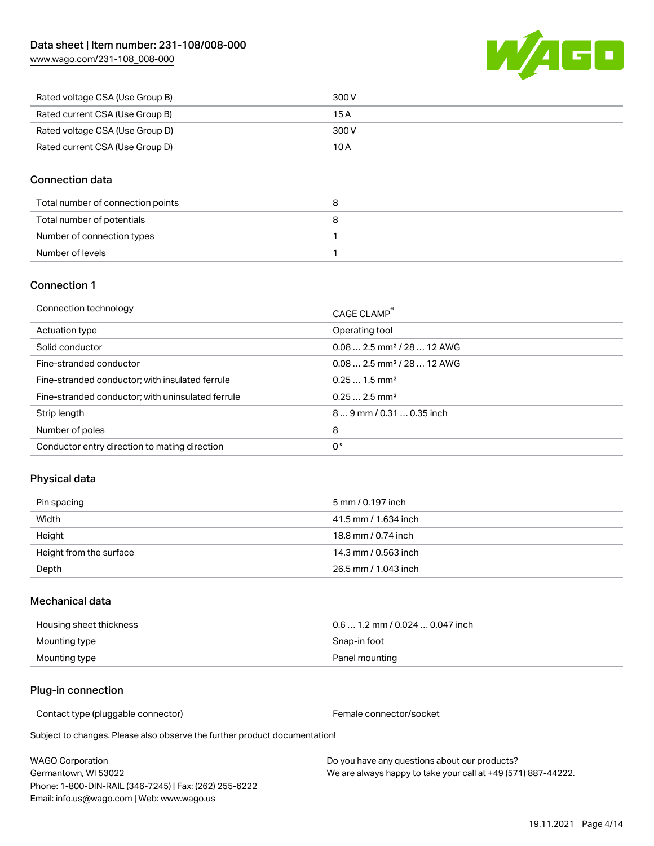W/160

| Rated voltage CSA (Use Group B) | 300 V |
|---------------------------------|-------|
| Rated current CSA (Use Group B) | 15 A  |
| Rated voltage CSA (Use Group D) | 300 V |
| Rated current CSA (Use Group D) | 10 A  |

### Connection data

| Total number of connection points | o |
|-----------------------------------|---|
| Total number of potentials        |   |
| Number of connection types        |   |
| Number of levels                  |   |

#### Connection 1

| Connection technology                             | CAGE CLAMP <sup>®</sup>                 |
|---------------------------------------------------|-----------------------------------------|
| Actuation type                                    | Operating tool                          |
| Solid conductor                                   | $0.082.5$ mm <sup>2</sup> / 28  12 AWG  |
| Fine-stranded conductor                           | $0.08$ 2.5 mm <sup>2</sup> / 28  12 AWG |
| Fine-stranded conductor; with insulated ferrule   | $0.251.5$ mm <sup>2</sup>               |
| Fine-stranded conductor; with uninsulated ferrule | $0.252.5$ mm <sup>2</sup>               |
| Strip length                                      | 89 mm / 0.31  0.35 inch                 |
| Number of poles                                   | 8                                       |
| Conductor entry direction to mating direction     | 0°                                      |

## Physical data

| Pin spacing             | 5 mm / 0.197 inch    |
|-------------------------|----------------------|
| Width                   | 41.5 mm / 1.634 inch |
| Height                  | 18.8 mm / 0.74 inch  |
| Height from the surface | 14.3 mm / 0.563 inch |
| Depth                   | 26.5 mm / 1.043 inch |

#### Mechanical data

| Housing sheet thickness | $0.61.2$ mm / 0.024  0.047 inch |
|-------------------------|---------------------------------|
| Mounting type           | Snap-in foot                    |
| Mounting type           | Panel mounting                  |

#### Plug-in connection

Contact type (pluggable connector) example and the Female connector/socket

Subject to changes. Please also observe the further product documentation!

WAGO Corporation Germantown, WI 53022 Phone: 1-800-DIN-RAIL (346-7245) | Fax: (262) 255-6222 Email: info.us@wago.com | Web: www.wago.us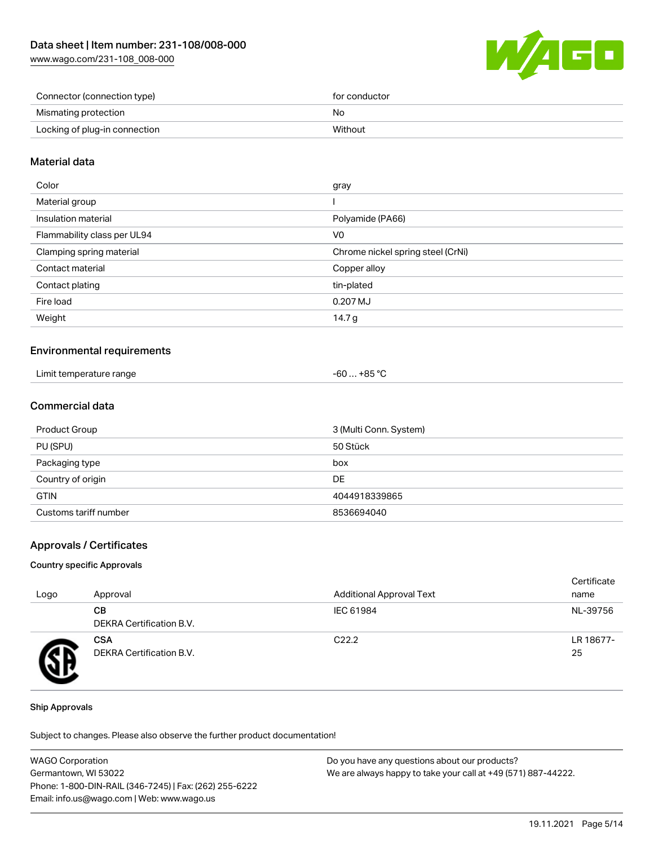[www.wago.com/231-108\\_008-000](http://www.wago.com/231-108_008-000)



| Connector (connection type)   | for conductor |
|-------------------------------|---------------|
| Mismating protection          | No            |
| Locking of plug-in connection | Without       |

### Material data

| Color                       | gray                              |
|-----------------------------|-----------------------------------|
| Material group              |                                   |
| Insulation material         | Polyamide (PA66)                  |
| Flammability class per UL94 | V <sub>0</sub>                    |
| Clamping spring material    | Chrome nickel spring steel (CrNi) |
| Contact material            | Copper alloy                      |
| Contact plating             | tin-plated                        |
| Fire load                   | 0.207 MJ                          |
| Weight                      | 14.7 g                            |
|                             |                                   |

#### Environmental requirements

| Limit temperature range<br>. | ⊥+85 °C<br>-60 … |
|------------------------------|------------------|
|------------------------------|------------------|

## Commercial data

| Product Group         | 3 (Multi Conn. System) |
|-----------------------|------------------------|
| PU (SPU)              | 50 Stück               |
| Packaging type        | box                    |
| Country of origin     | DE                     |
| <b>GTIN</b>           | 4044918339865          |
| Customs tariff number | 8536694040             |

#### Approvals / Certificates

#### Country specific Approvals

| Logo | Approval                               | <b>Additional Approval Text</b> | Certificate<br>name |
|------|----------------------------------------|---------------------------------|---------------------|
|      | CВ<br><b>DEKRA Certification B.V.</b>  | IEC 61984                       | NL-39756            |
|      | <b>CSA</b><br>DEKRA Certification B.V. | C <sub>22.2</sub>               | LR 18677-<br>25     |

#### Ship Approvals

| <b>WAGO Corporation</b>                                | Do you have any questions about our products?                 |
|--------------------------------------------------------|---------------------------------------------------------------|
| Germantown, WI 53022                                   | We are always happy to take your call at +49 (571) 887-44222. |
| Phone: 1-800-DIN-RAIL (346-7245)   Fax: (262) 255-6222 |                                                               |
| Email: info.us@wago.com   Web: www.wago.us             |                                                               |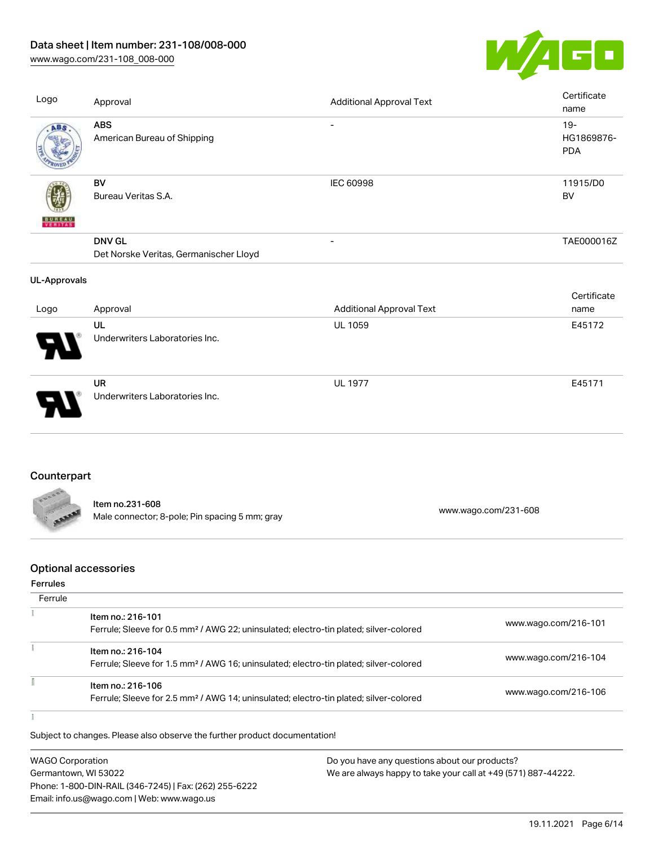## Data sheet | Item number: 231-108/008-000

[www.wago.com/231-108\\_008-000](http://www.wago.com/231-108_008-000)



| Logo                | Approval                                                | <b>Additional Approval Text</b> | Certificate<br>name                |
|---------------------|---------------------------------------------------------|---------------------------------|------------------------------------|
| ABS                 | <b>ABS</b><br>American Bureau of Shipping               | $\overline{\phantom{a}}$        | $19 -$<br>HG1869876-<br><b>PDA</b> |
| VERITAS             | BV<br>Bureau Veritas S.A.                               | IEC 60998                       | 11915/D0<br><b>BV</b>              |
|                     | <b>DNV GL</b><br>Det Norske Veritas, Germanischer Lloyd | $\overline{\phantom{a}}$        | TAE000016Z                         |
| <b>UL-Approvals</b> |                                                         |                                 |                                    |
| Logo                | Approval                                                | <b>Additional Approval Text</b> | Certificate<br>name                |
|                     | UL<br>Underwriters Laboratories Inc.                    | <b>UL 1059</b>                  | E45172                             |
|                     | <b>UR</b><br>Underwriters Laboratories Inc.             | <b>UL 1977</b>                  | E45171                             |

## **Counterpart**

| FROOR        |                                                |                      |
|--------------|------------------------------------------------|----------------------|
|              | Item no.231-608                                |                      |
| <b>ABBBE</b> | Male connector; 8-pole; Pin spacing 5 mm; gray | www.wago.com/231-608 |

## Optional accessories

#### Ferrules

t

| Ferrule |                                                                                                                        |                      |
|---------|------------------------------------------------------------------------------------------------------------------------|----------------------|
|         | Item no.: 216-101<br>Ferrule; Sleeve for 0.5 mm <sup>2</sup> / AWG 22; uninsulated; electro-tin plated; silver-colored | www.wago.com/216-101 |
|         | Item no.: 216-104<br>Ferrule; Sleeve for 1.5 mm <sup>2</sup> / AWG 16; uninsulated; electro-tin plated; silver-colored | www.wago.com/216-104 |
|         | Item no.: 216-106<br>Ferrule; Sleeve for 2.5 mm <sup>2</sup> / AWG 14; uninsulated; electro-tin plated; silver-colored | www.wago.com/216-106 |
|         |                                                                                                                        |                      |

| <b>WAGO Corporation</b>                                | Do you have any questions about our products?                 |
|--------------------------------------------------------|---------------------------------------------------------------|
| Germantown, WI 53022                                   | We are always happy to take your call at +49 (571) 887-44222. |
| Phone: 1-800-DIN-RAIL (346-7245)   Fax: (262) 255-6222 |                                                               |
| Email: info.us@wago.com   Web: www.wago.us             |                                                               |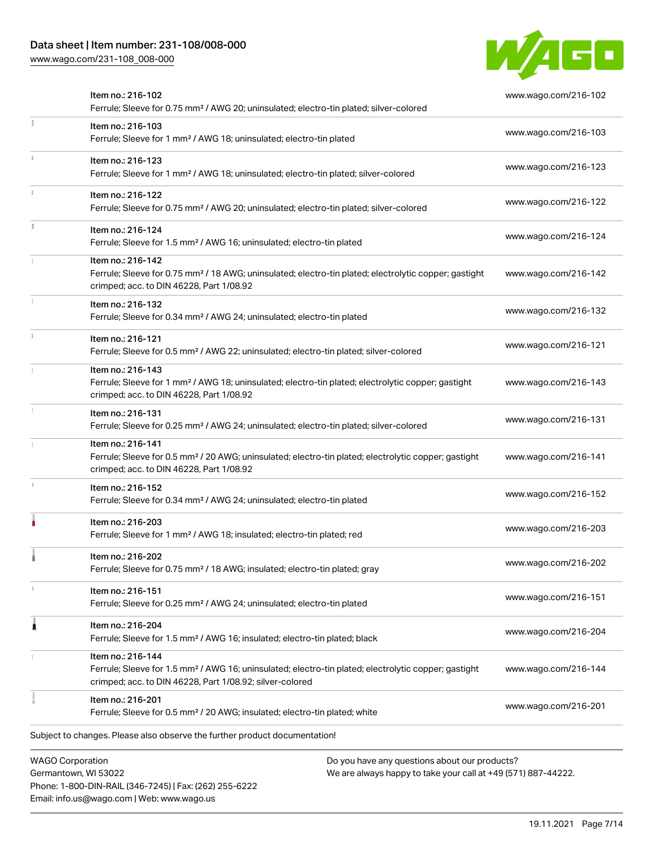Phone: 1-800-DIN-RAIL (346-7245) | Fax: (262) 255-6222

Email: info.us@wago.com | Web: www.wago.us

[www.wago.com/231-108\\_008-000](http://www.wago.com/231-108_008-000)



|                         | Item no.: 216-102<br>Ferrule; Sleeve for 0.75 mm <sup>2</sup> / AWG 20; uninsulated; electro-tin plated; silver-colored                                                                           |                                                                                                                | www.wago.com/216-102 |
|-------------------------|---------------------------------------------------------------------------------------------------------------------------------------------------------------------------------------------------|----------------------------------------------------------------------------------------------------------------|----------------------|
|                         | Item no.: 216-103<br>Ferrule; Sleeve for 1 mm <sup>2</sup> / AWG 18; uninsulated; electro-tin plated                                                                                              |                                                                                                                | www.wago.com/216-103 |
|                         | Item no.: 216-123<br>Ferrule; Sleeve for 1 mm <sup>2</sup> / AWG 18; uninsulated; electro-tin plated; silver-colored                                                                              |                                                                                                                | www.wago.com/216-123 |
|                         | Item no.: 216-122<br>Ferrule; Sleeve for 0.75 mm <sup>2</sup> / AWG 20; uninsulated; electro-tin plated; silver-colored                                                                           |                                                                                                                | www.wago.com/216-122 |
|                         | Item no.: 216-124<br>Ferrule; Sleeve for 1.5 mm <sup>2</sup> / AWG 16; uninsulated; electro-tin plated                                                                                            |                                                                                                                | www.wago.com/216-124 |
|                         | Item no.: 216-142<br>Ferrule; Sleeve for 0.75 mm <sup>2</sup> / 18 AWG; uninsulated; electro-tin plated; electrolytic copper; gastight<br>crimped; acc. to DIN 46228, Part 1/08.92                |                                                                                                                | www.wago.com/216-142 |
|                         | Item no.: 216-132<br>Ferrule; Sleeve for 0.34 mm <sup>2</sup> / AWG 24; uninsulated; electro-tin plated                                                                                           |                                                                                                                | www.wago.com/216-132 |
|                         | Item no.: 216-121<br>Ferrule; Sleeve for 0.5 mm <sup>2</sup> / AWG 22; uninsulated; electro-tin plated; silver-colored                                                                            |                                                                                                                | www.wago.com/216-121 |
|                         | Item no.: 216-143<br>Ferrule; Sleeve for 1 mm <sup>2</sup> / AWG 18; uninsulated; electro-tin plated; electrolytic copper; gastight<br>crimped; acc. to DIN 46228, Part 1/08.92                   |                                                                                                                | www.wago.com/216-143 |
|                         | Item no.: 216-131<br>Ferrule; Sleeve for 0.25 mm <sup>2</sup> / AWG 24; uninsulated; electro-tin plated; silver-colored                                                                           |                                                                                                                | www.wago.com/216-131 |
|                         | Item no.: 216-141<br>Ferrule; Sleeve for 0.5 mm <sup>2</sup> / 20 AWG; uninsulated; electro-tin plated; electrolytic copper; gastight<br>crimped; acc. to DIN 46228, Part 1/08.92                 |                                                                                                                | www.wago.com/216-141 |
|                         | Item no.: 216-152<br>Ferrule; Sleeve for 0.34 mm <sup>2</sup> / AWG 24; uninsulated; electro-tin plated                                                                                           |                                                                                                                | www.wago.com/216-152 |
|                         | Item no.: 216-203<br>Ferrule; Sleeve for 1 mm <sup>2</sup> / AWG 18; insulated; electro-tin plated; red                                                                                           |                                                                                                                | www.wago.com/216-203 |
|                         | Item no.: 216-202<br>Ferrule; Sleeve for 0.75 mm <sup>2</sup> / 18 AWG; insulated; electro-tin plated; gray                                                                                       |                                                                                                                | www.wago.com/216-202 |
|                         | Item no.: 216-151<br>Ferrule; Sleeve for 0.25 mm <sup>2</sup> / AWG 24; uninsulated; electro-tin plated                                                                                           |                                                                                                                | www.wago.com/216-151 |
|                         | Item no.: 216-204<br>Ferrule; Sleeve for 1.5 mm <sup>2</sup> / AWG 16; insulated; electro-tin plated; black                                                                                       |                                                                                                                | www.wago.com/216-204 |
|                         | Item no.: 216-144<br>Ferrule; Sleeve for 1.5 mm <sup>2</sup> / AWG 16; uninsulated; electro-tin plated; electrolytic copper; gastight<br>crimped; acc. to DIN 46228, Part 1/08.92; silver-colored |                                                                                                                | www.wago.com/216-144 |
|                         | Item no.: 216-201<br>Ferrule; Sleeve for 0.5 mm <sup>2</sup> / 20 AWG; insulated; electro-tin plated; white                                                                                       |                                                                                                                | www.wago.com/216-201 |
|                         | Subject to changes. Please also observe the further product documentation!                                                                                                                        |                                                                                                                |                      |
| <b>WAGO Corporation</b> | Germantown, WI 53022                                                                                                                                                                              | Do you have any questions about our products?<br>We are always happy to take your call at +49 (571) 887-44222. |                      |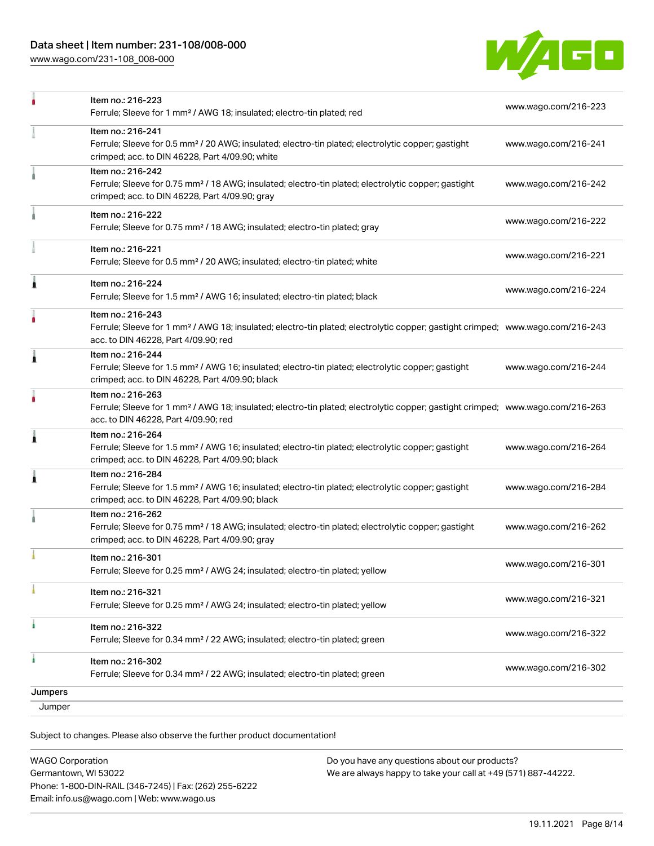## Data sheet | Item number: 231-108/008-000

[www.wago.com/231-108\\_008-000](http://www.wago.com/231-108_008-000)



|   | Item no.: 216-301<br>Ferrule; Sleeve for 0.25 mm <sup>2</sup> / AWG 24; insulated; electro-tin plated; yellow                                                                                           | www.wago.com/216-301 |
|---|---------------------------------------------------------------------------------------------------------------------------------------------------------------------------------------------------------|----------------------|
|   | crimped; acc. to DIN 46228, Part 4/09.90; gray                                                                                                                                                          |                      |
|   | Item no.: 216-262<br>Ferrule; Sleeve for 0.75 mm <sup>2</sup> / 18 AWG; insulated; electro-tin plated; electrolytic copper; gastight                                                                    | www.wago.com/216-262 |
| 1 | Item no.: 216-284<br>Ferrule; Sleeve for 1.5 mm <sup>2</sup> / AWG 16; insulated; electro-tin plated; electrolytic copper; gastight<br>crimped; acc. to DIN 46228, Part 4/09.90; black                  | www.wago.com/216-284 |
|   | Item no.: 216-264<br>Ferrule; Sleeve for 1.5 mm <sup>2</sup> / AWG 16; insulated; electro-tin plated; electrolytic copper; gastight<br>crimped; acc. to DIN 46228, Part 4/09.90; black                  | www.wago.com/216-264 |
|   | Item no.: 216-263<br>Ferrule; Sleeve for 1 mm <sup>2</sup> / AWG 18; insulated; electro-tin plated; electrolytic copper; gastight crimped; www.wago.com/216-263<br>acc. to DIN 46228, Part 4/09.90; red |                      |
|   | Item no.: 216-244<br>Ferrule; Sleeve for 1.5 mm <sup>2</sup> / AWG 16; insulated; electro-tin plated; electrolytic copper; gastight<br>crimped; acc. to DIN 46228, Part 4/09.90; black                  | www.wago.com/216-244 |
|   | Item no.: 216-243<br>Ferrule; Sleeve for 1 mm <sup>2</sup> / AWG 18; insulated; electro-tin plated; electrolytic copper; gastight crimped; www.wago.com/216-243<br>acc. to DIN 46228, Part 4/09.90; red |                      |
| 1 | Item no.: 216-224<br>Ferrule; Sleeve for 1.5 mm <sup>2</sup> / AWG 16; insulated; electro-tin plated; black                                                                                             | www.wago.com/216-224 |
|   | Item no.: 216-221<br>Ferrule; Sleeve for 0.5 mm <sup>2</sup> / 20 AWG; insulated; electro-tin plated; white                                                                                             | www.wago.com/216-221 |
|   | Item no.: 216-222<br>Ferrule; Sleeve for 0.75 mm <sup>2</sup> / 18 AWG; insulated; electro-tin plated; gray                                                                                             | www.wago.com/216-222 |
|   | Item no.: 216-242<br>Ferrule; Sleeve for 0.75 mm <sup>2</sup> / 18 AWG; insulated; electro-tin plated; electrolytic copper; gastight<br>crimped; acc. to DIN 46228, Part 4/09.90; gray                  | www.wago.com/216-242 |
|   | Item no.: 216-241<br>Ferrule; Sleeve for 0.5 mm <sup>2</sup> / 20 AWG; insulated; electro-tin plated; electrolytic copper; gastight<br>crimped; acc. to DIN 46228, Part 4/09.90; white                  | www.wago.com/216-241 |
|   | Item no.: 216-223<br>Ferrule; Sleeve for 1 mm <sup>2</sup> / AWG 18; insulated; electro-tin plated; red                                                                                                 | www.wago.com/216-223 |

Subject to changes. Please also observe the further product documentation!

| <b>WAGO Corporation</b>                                | Do v |
|--------------------------------------------------------|------|
| Germantown, WI 53022                                   | We a |
| Phone: 1-800-DIN-RAIL (346-7245)   Fax: (262) 255-6222 |      |
| Email: info.us@wago.com   Web: www.wago.us             |      |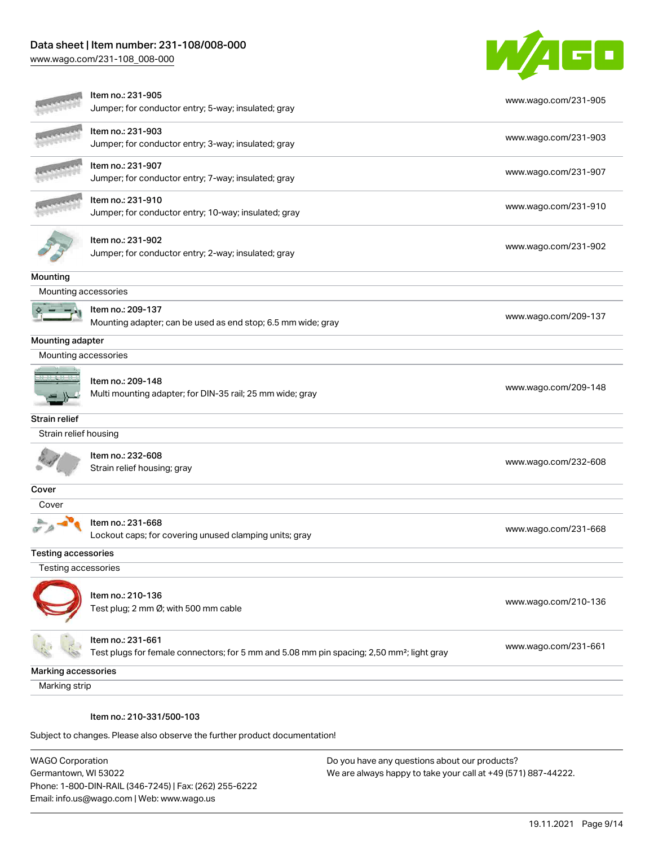## Data sheet | Item number: 231-108/008-000

[www.wago.com/231-108\\_008-000](http://www.wago.com/231-108_008-000)



|                            | Item no.: 231-905<br>Jumper; for conductor entry; 5-way; insulated; gray                                                   | www.wago.com/231-905 |
|----------------------------|----------------------------------------------------------------------------------------------------------------------------|----------------------|
|                            | Item no.: 231-903<br>Jumper; for conductor entry; 3-way; insulated; gray                                                   | www.wago.com/231-903 |
|                            | Item no.: 231-907<br>Jumper; for conductor entry; 7-way; insulated; gray                                                   | www.wago.com/231-907 |
|                            | Item no.: 231-910<br>Jumper; for conductor entry; 10-way; insulated; gray                                                  | www.wago.com/231-910 |
|                            | Item no.: 231-902<br>Jumper; for conductor entry; 2-way; insulated; gray                                                   | www.wago.com/231-902 |
| Mounting                   |                                                                                                                            |                      |
| Mounting accessories       |                                                                                                                            |                      |
|                            | Item no.: 209-137<br>Mounting adapter; can be used as end stop; 6.5 mm wide; gray                                          | www.wago.com/209-137 |
| Mounting adapter           |                                                                                                                            |                      |
| Mounting accessories       |                                                                                                                            |                      |
|                            | Item no.: 209-148<br>Multi mounting adapter; for DIN-35 rail; 25 mm wide; gray                                             | www.wago.com/209-148 |
| Strain relief              |                                                                                                                            |                      |
| Strain relief housing      |                                                                                                                            |                      |
|                            | Item no.: 232-608<br>Strain relief housing; gray                                                                           | www.wago.com/232-608 |
| Cover                      |                                                                                                                            |                      |
| Cover                      |                                                                                                                            |                      |
|                            | Item no.: 231-668<br>Lockout caps; for covering unused clamping units; gray                                                | www.wago.com/231-668 |
| <b>Testing accessories</b> |                                                                                                                            |                      |
| Testing accessories        |                                                                                                                            |                      |
|                            | Item no.: 210-136<br>Test plug; 2 mm Ø; with 500 mm cable                                                                  | www.wago.com/210-136 |
|                            | Item no.: 231-661<br>Test plugs for female connectors; for 5 mm and 5.08 mm pin spacing; 2,50 mm <sup>2</sup> ; light gray | www.wago.com/231-661 |
| Marking accessories        |                                                                                                                            |                      |
| Marking strip              |                                                                                                                            |                      |
|                            | Item no.: 210-331/500-103                                                                                                  |                      |
|                            | Subject to changes. Please also observe the further product documentation!                                                 |                      |

WAGO Corporation Germantown, WI 53022 Phone: 1-800-DIN-RAIL (346-7245) | Fax: (262) 255-6222 Email: info.us@wago.com | Web: www.wago.us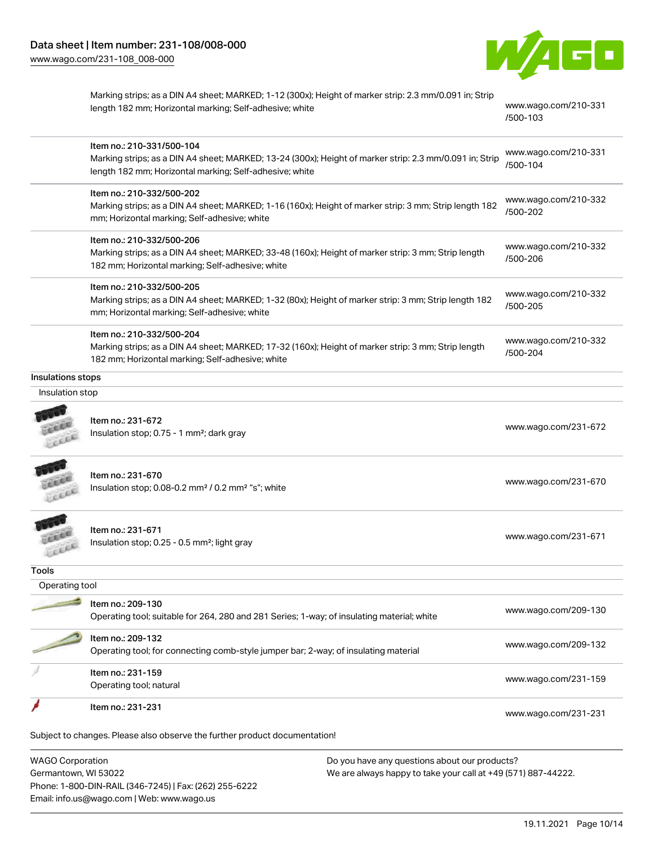

| Marking strips; as a DIN A4 sheet; MARKED; 1-12 (300x); Height of marker strip: 2.3 mm/0.091 in; Strip |  |
|--------------------------------------------------------------------------------------------------------|--|
| length 182 mm; Horizontal marking; Self-adhesive; white                                                |  |

[www.wago.com/210-331](http://www.wago.com/210-331/500-103) [/500-103](http://www.wago.com/210-331/500-103)

|                         | Item no.: 210-331/500-104<br>Marking strips; as a DIN A4 sheet; MARKED; 13-24 (300x); Height of marker strip: 2.3 mm/0.091 in; Strip                    | www.wago.com/210-331<br>/500-104 |
|-------------------------|---------------------------------------------------------------------------------------------------------------------------------------------------------|----------------------------------|
|                         | length 182 mm; Horizontal marking; Self-adhesive; white                                                                                                 |                                  |
|                         | Item no.: 210-332/500-202                                                                                                                               | www.wago.com/210-332             |
|                         | Marking strips; as a DIN A4 sheet; MARKED; 1-16 (160x); Height of marker strip: 3 mm; Strip length 182                                                  | /500-202                         |
|                         | mm; Horizontal marking; Self-adhesive; white                                                                                                            |                                  |
|                         | Item no.: 210-332/500-206                                                                                                                               | www.wago.com/210-332             |
|                         | Marking strips; as a DIN A4 sheet; MARKED; 33-48 (160x); Height of marker strip: 3 mm; Strip length<br>182 mm; Horizontal marking; Self-adhesive; white | /500-206                         |
|                         |                                                                                                                                                         |                                  |
|                         | Item no.: 210-332/500-205                                                                                                                               | www.wago.com/210-332             |
|                         | Marking strips; as a DIN A4 sheet; MARKED; 1-32 (80x); Height of marker strip: 3 mm; Strip length 182<br>mm; Horizontal marking; Self-adhesive; white   | /500-205                         |
|                         |                                                                                                                                                         |                                  |
|                         | Item no.: 210-332/500-204                                                                                                                               | www.wago.com/210-332             |
|                         | Marking strips; as a DIN A4 sheet; MARKED; 17-32 (160x); Height of marker strip: 3 mm; Strip length<br>182 mm; Horizontal marking; Self-adhesive; white | /500-204                         |
| Insulations stops       |                                                                                                                                                         |                                  |
| Insulation stop         |                                                                                                                                                         |                                  |
|                         |                                                                                                                                                         |                                  |
|                         | Item no.: 231-672                                                                                                                                       | www.wago.com/231-672             |
|                         | Insulation stop; 0.75 - 1 mm <sup>2</sup> ; dark gray                                                                                                   |                                  |
|                         | Item no.: 231-670                                                                                                                                       |                                  |
|                         | Insulation stop; 0.08-0.2 mm <sup>2</sup> / 0.2 mm <sup>2</sup> "s"; white                                                                              | www.wago.com/231-670             |
| Lecci                   |                                                                                                                                                         |                                  |
|                         |                                                                                                                                                         |                                  |
|                         | Item no.: 231-671<br>Insulation stop; 0.25 - 0.5 mm <sup>2</sup> ; light gray                                                                           | www.wago.com/231-671             |
|                         |                                                                                                                                                         |                                  |
| Tools                   |                                                                                                                                                         |                                  |
| Operating tool          |                                                                                                                                                         |                                  |
|                         | Item no.: 209-130                                                                                                                                       |                                  |
|                         | Operating tool; suitable for 264, 280 and 281 Series; 1-way; of insulating material; white                                                              | www.wago.com/209-130             |
|                         | Item no.: 209-132                                                                                                                                       |                                  |
|                         | Operating tool; for connecting comb-style jumper bar; 2-way; of insulating material                                                                     | www.wago.com/209-132             |
|                         | Item no.: 231-159                                                                                                                                       |                                  |
|                         | Operating tool; natural                                                                                                                                 | www.wago.com/231-159             |
|                         | Item no.: 231-231                                                                                                                                       | www.wago.com/231-231             |
|                         | Subject to changes. Please also observe the further product documentation!                                                                              |                                  |
|                         |                                                                                                                                                         |                                  |
| <b>WAGO Corporation</b> | Do you have any questions about our products?                                                                                                           |                                  |

Germantown, WI 53022 Phone: 1-800-DIN-RAIL (346-7245) | Fax: (262) 255-6222 Email: info.us@wago.com | Web: www.wago.us

We are always happy to take your call at +49 (571) 887-44222.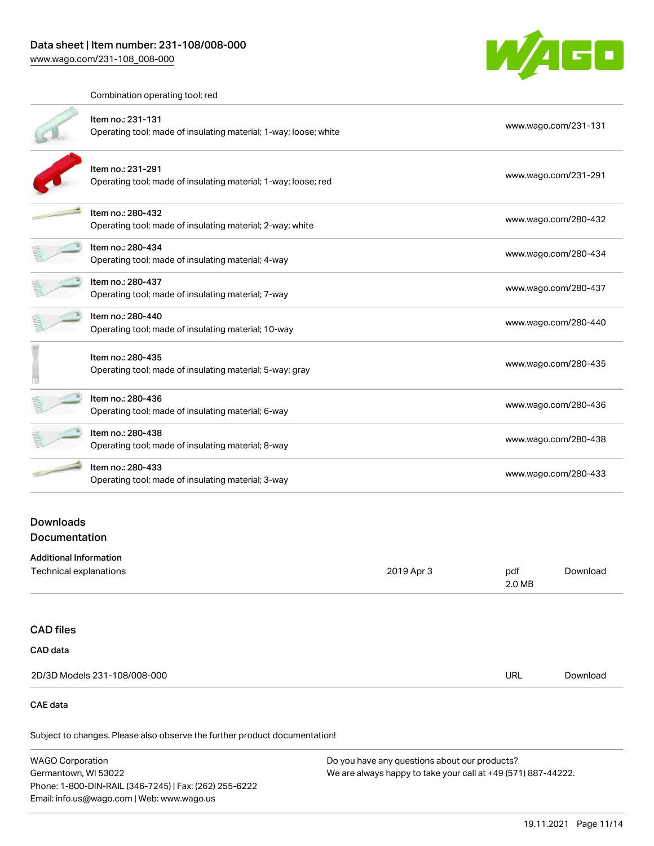

Combination operating tool; red

|                  | Item no.: 231-131<br>Operating tool; made of insulating material; 1-way; loose; white | www.wago.com/231-131 |
|------------------|---------------------------------------------------------------------------------------|----------------------|
|                  | Item no.: 231-291<br>Operating tool; made of insulating material; 1-way; loose; red   | www.wago.com/231-291 |
|                  | Item no.: 280-432<br>Operating tool; made of insulating material; 2-way; white        | www.wago.com/280-432 |
|                  | Item no.: 280-434<br>Operating tool; made of insulating material; 4-way               | www.wago.com/280-434 |
|                  | Item no.: 280-437<br>Operating tool; made of insulating material; 7-way               | www.wago.com/280-437 |
|                  | Item no.: 280-440<br>Operating tool; made of insulating material; 10-way              | www.wago.com/280-440 |
|                  | Item no.: 280-435<br>Operating tool; made of insulating material; 5-way; gray         | www.wago.com/280-435 |
|                  | Item no.: 280-436<br>Operating tool; made of insulating material; 6-way               | www.wago.com/280-436 |
|                  | Item no.: 280-438<br>Operating tool; made of insulating material; 8-way               | www.wago.com/280-438 |
|                  | Item no.: 280-433<br>Operating tool; made of insulating material; 3-way               | www.wago.com/280-433 |
| <b>Downloads</b> |                                                                                       |                      |

## Documentation

| Additional Information |            |               |          |
|------------------------|------------|---------------|----------|
| Technical explanations | 2019 Apr 3 | pdf<br>2.0 MB | Download |
|                        |            |               |          |

## CAD files

| CAD data                     |            |          |
|------------------------------|------------|----------|
| 2D/3D Models 231-108/008-000 | <b>URL</b> | Download |

## CAE data

| WAGO Corporation                                       | Do you have any questions about our products?                 |
|--------------------------------------------------------|---------------------------------------------------------------|
| Germantown, WI 53022                                   | We are always happy to take your call at +49 (571) 887-44222. |
| Phone: 1-800-DIN-RAIL (346-7245)   Fax: (262) 255-6222 |                                                               |
| Email: info.us@wago.com   Web: www.wago.us             |                                                               |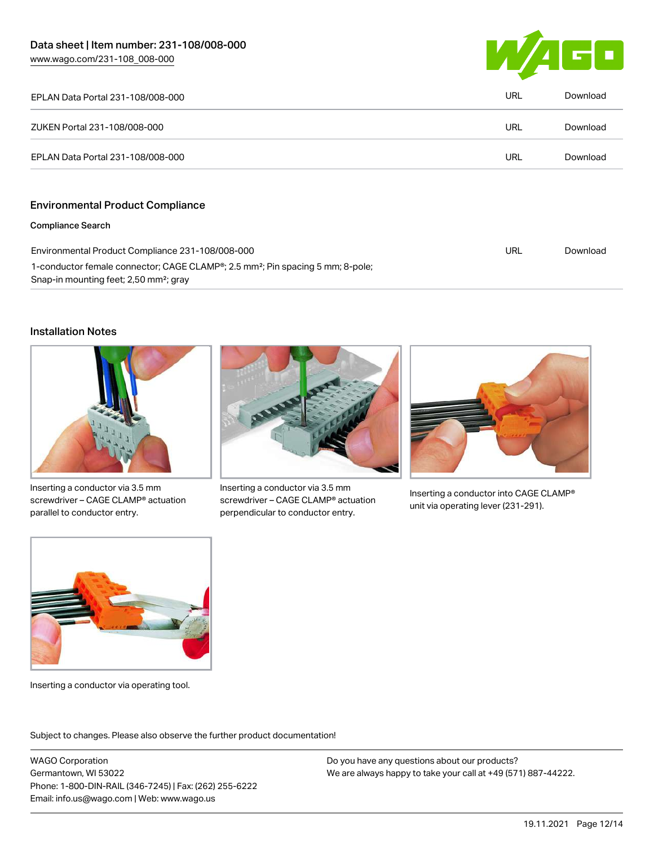

| EPLAN Data Portal 231-108/008-000 | URL        | Download |
|-----------------------------------|------------|----------|
| ZUKEN Portal 231-108/008-000      | <b>URL</b> | Download |
| EPLAN Data Portal 231-108/008-000 | <b>URL</b> | Download |
|                                   |            |          |

## Environmental Product Compliance

#### Compliance Search

| Environmental Product Compliance 231-108/008-000                                                        | URL | Download |
|---------------------------------------------------------------------------------------------------------|-----|----------|
| 1-conductor female connector; CAGE CLAMP <sup>®</sup> ; 2.5 mm <sup>2</sup> ; Pin spacing 5 mm; 8-pole; |     |          |
| Snap-in mounting feet; 2,50 mm <sup>2</sup> ; gray                                                      |     |          |

#### Installation Notes



Inserting a conductor via 3.5 mm screwdriver – CAGE CLAMP® actuation parallel to conductor entry.



Inserting a conductor via 3.5 mm screwdriver – CAGE CLAMP® actuation perpendicular to conductor entry.



Inserting a conductor into CAGE CLAMP® unit via operating lever (231-291).



Inserting a conductor via operating tool.

Subject to changes. Please also observe the further product documentation!

WAGO Corporation Germantown, WI 53022 Phone: 1-800-DIN-RAIL (346-7245) | Fax: (262) 255-6222 Email: info.us@wago.com | Web: www.wago.us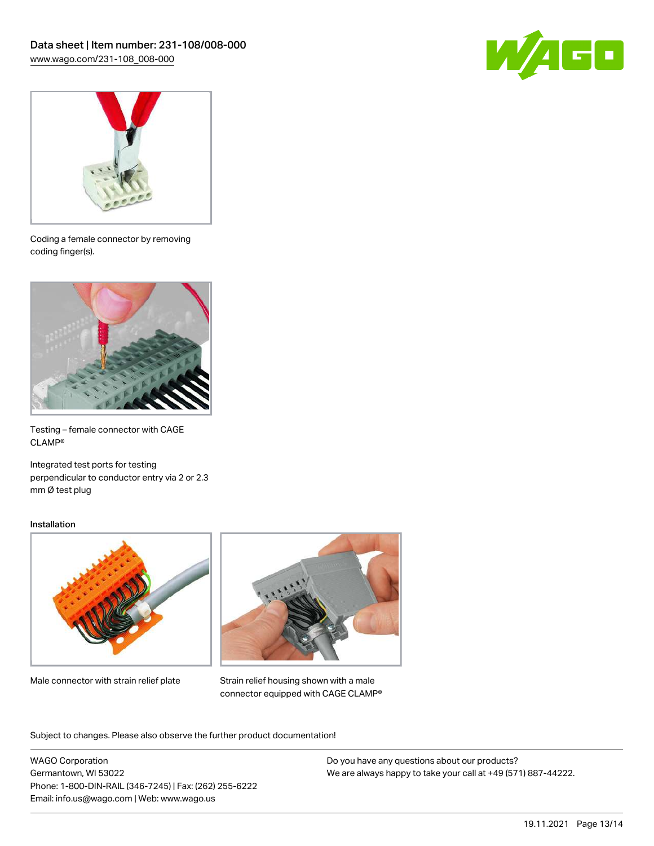



Coding a female connector by removing coding finger(s).



Testing – female connector with CAGE CLAMP®

Integrated test ports for testing perpendicular to conductor entry via 2 or 2.3 mm Ø test plug

#### Installation



Male connector with strain relief plate



Strain relief housing shown with a male connector equipped with CAGE CLAMP®

Subject to changes. Please also observe the further product documentation!

WAGO Corporation Germantown, WI 53022 Phone: 1-800-DIN-RAIL (346-7245) | Fax: (262) 255-6222 Email: info.us@wago.com | Web: www.wago.us